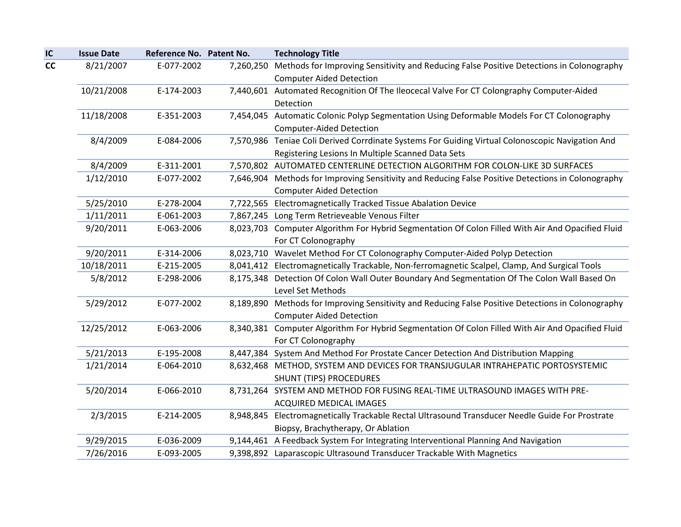| IC | <b>Issue Date</b> | Reference No. Patent No. | <b>Technology Title</b>                                                                                                               |
|----|-------------------|--------------------------|---------------------------------------------------------------------------------------------------------------------------------------|
| cc | 8/21/2007         | E-077-2002               | 7,260,250 Methods for Improving Sensitivity and Reducing False Positive Detections in Colonography<br><b>Computer Aided Detection</b> |
|    | 10/21/2008        | E-174-2003               | 7,440,601 Automated Recognition Of The Ileocecal Valve For CT Colongraphy Computer-Aided                                              |
|    |                   |                          | Detection                                                                                                                             |
|    | 11/18/2008        | E-351-2003               | 7,454,045 Automatic Colonic Polyp Segmentation Using Deformable Models For CT Colonography                                            |
|    |                   |                          | <b>Computer-Aided Detection</b>                                                                                                       |
|    | 8/4/2009          | E-084-2006               | 7,570,986 Teniae Coli Derived Corrdinate Systems For Guiding Virtual Colonoscopic Navigation And                                      |
|    |                   |                          | Registering Lesions In Multiple Scanned Data Sets                                                                                     |
|    | 8/4/2009          | E-311-2001               | 7,570,802 AUTOMATED CENTERLINE DETECTION ALGORITHM FOR COLON-LIKE 3D SURFACES                                                         |
|    | 1/12/2010         | E-077-2002               | 7,646,904 Methods for Improving Sensitivity and Reducing False Positive Detections in Colonography                                    |
|    |                   |                          | <b>Computer Aided Detection</b>                                                                                                       |
|    | 5/25/2010         | E-278-2004               | 7,722,565 Electromagnetically Tracked Tissue Abalation Device                                                                         |
|    | 1/11/2011         | E-061-2003               | 7,867,245 Long Term Retrieveable Venous Filter                                                                                        |
|    | 9/20/2011         | E-063-2006               | 8,023,703 Computer Algorithm For Hybrid Segmentation Of Colon Filled With Air And Opacified Fluid                                     |
|    |                   |                          | For CT Colonography                                                                                                                   |
|    | 9/20/2011         | E-314-2006               | 8,023,710 Wavelet Method For CT Colonography Computer-Aided Polyp Detection                                                           |
|    | 10/18/2011        | E-215-2005               | 8,041,412 Electromagnetically Trackable, Non-ferromagnetic Scalpel, Clamp, And Surgical Tools                                         |
|    | 5/8/2012          | E-298-2006               | 8,175,348 Detection Of Colon Wall Outer Boundary And Segmentation Of The Colon Wall Based On                                          |
|    |                   |                          | Level Set Methods                                                                                                                     |
|    | 5/29/2012         | E-077-2002               | 8,189,890 Methods for Improving Sensitivity and Reducing False Positive Detections in Colonography                                    |
|    |                   |                          | <b>Computer Aided Detection</b>                                                                                                       |
|    | 12/25/2012        | E-063-2006               | 8,340,381 Computer Algorithm For Hybrid Segmentation Of Colon Filled With Air And Opacified Fluid                                     |
|    |                   |                          | For CT Colonography                                                                                                                   |
|    | 5/21/2013         | E-195-2008               | 8,447,384 System And Method For Prostate Cancer Detection And Distribution Mapping                                                    |
|    | 1/21/2014         | E-064-2010               | 8,632,468 METHOD, SYSTEM AND DEVICES FOR TRANSJUGULAR INTRAHEPATIC PORTOSYSTEMIC                                                      |
|    |                   |                          | <b>SHUNT (TIPS) PROCEDURES</b>                                                                                                        |
|    | 5/20/2014         | E-066-2010               | 8,731,264 SYSTEM AND METHOD FOR FUSING REAL-TIME ULTRASOUND IMAGES WITH PRE-                                                          |
|    |                   |                          | ACQUIRED MEDICAL IMAGES                                                                                                               |
|    | 2/3/2015          | E-214-2005               | 8,948,845 Electromagnetically Trackable Rectal Ultrasound Transducer Needle Guide For Prostrate                                       |
|    |                   |                          | Biopsy, Brachytherapy, Or Ablation                                                                                                    |
|    | 9/29/2015         | E-036-2009               | 9,144,461 A Feedback System For Integrating Interventional Planning And Navigation                                                    |
|    | 7/26/2016         | E-093-2005               | 9,398,892 Laparascopic Ultrasound Transducer Trackable With Magnetics                                                                 |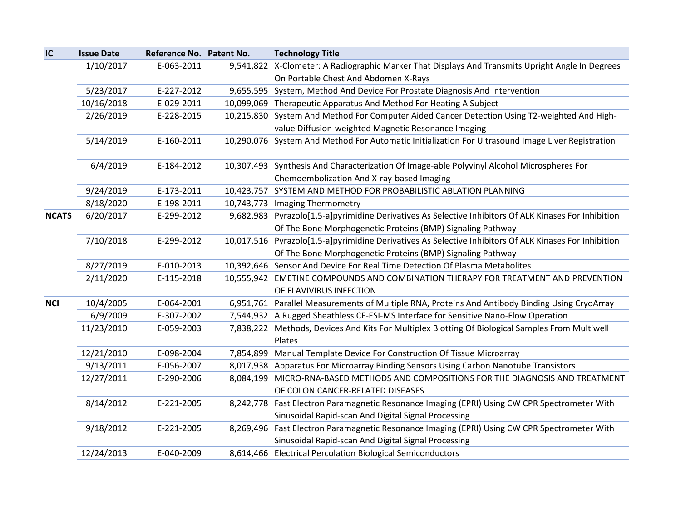| IC           | <b>Issue Date</b> | Reference No. Patent No. | <b>Technology Title</b>                                                                                                                                              |
|--------------|-------------------|--------------------------|----------------------------------------------------------------------------------------------------------------------------------------------------------------------|
|              | 1/10/2017         | E-063-2011               | 9,541,822 X-Clometer: A Radiographic Marker That Displays And Transmits Upright Angle In Degrees<br>On Portable Chest And Abdomen X-Rays                             |
|              | 5/23/2017         | E-227-2012               | 9,655,595 System, Method And Device For Prostate Diagnosis And Intervention                                                                                          |
|              | 10/16/2018        | E-029-2011               | 10,099,069 Therapeutic Apparatus And Method For Heating A Subject                                                                                                    |
|              | 2/26/2019         | E-228-2015               | 10,215,830 System And Method For Computer Aided Cancer Detection Using T2-weighted And High-                                                                         |
|              |                   |                          | value Diffusion-weighted Magnetic Resonance Imaging                                                                                                                  |
|              | 5/14/2019         | E-160-2011               | 10,290,076 System And Method For Automatic Initialization For Ultrasound Image Liver Registration                                                                    |
|              | 6/4/2019          | E-184-2012               | 10,307,493 Synthesis And Characterization Of Image-able Polyvinyl Alcohol Microspheres For                                                                           |
|              |                   |                          | Chemoembolization And X-ray-based Imaging                                                                                                                            |
|              | 9/24/2019         | E-173-2011               | 10,423,757 SYSTEM AND METHOD FOR PROBABILISTIC ABLATION PLANNING                                                                                                     |
|              | 8/18/2020         | E-198-2011               | 10,743,773 Imaging Thermometry                                                                                                                                       |
| <b>NCATS</b> | 6/20/2017         | E-299-2012               | 9,682,983 Pyrazolo[1,5-a]pyrimidine Derivatives As Selective Inhibitors Of ALK Kinases For Inhibition                                                                |
|              | 7/10/2018         | E-299-2012               | Of The Bone Morphogenetic Proteins (BMP) Signaling Pathway<br>10,017,516 Pyrazolo[1,5-a]pyrimidine Derivatives As Selective Inhibitors Of ALK Kinases For Inhibition |
|              |                   |                          | Of The Bone Morphogenetic Proteins (BMP) Signaling Pathway                                                                                                           |
|              | 8/27/2019         | E-010-2013               | 10,392,646 Sensor And Device For Real Time Detection Of Plasma Metabolites                                                                                           |
|              | 2/11/2020         | E-115-2018               | 10,555,942 EMETINE COMPOUNDS AND COMBINATION THERAPY FOR TREATMENT AND PREVENTION                                                                                    |
|              |                   |                          | OF FLAVIVIRUS INFECTION                                                                                                                                              |
| <b>NCI</b>   | 10/4/2005         | E-064-2001               | 6,951,761 Parallel Measurements of Multiple RNA, Proteins And Antibody Binding Using CryoArray                                                                       |
|              | 6/9/2009          | E-307-2002               | 7,544,932 A Rugged Sheathless CE-ESI-MS Interface for Sensitive Nano-Flow Operation                                                                                  |
|              | 11/23/2010        | E-059-2003               | 7,838,222 Methods, Devices And Kits For Multiplex Blotting Of Biological Samples From Multiwell                                                                      |
|              |                   |                          | Plates                                                                                                                                                               |
|              | 12/21/2010        | E-098-2004               | 7,854,899 Manual Template Device For Construction Of Tissue Microarray                                                                                               |
|              | 9/13/2011         | E-056-2007               | 8,017,938 Apparatus For Microarray Binding Sensors Using Carbon Nanotube Transistors                                                                                 |
|              | 12/27/2011        | E-290-2006               | 8,084,199 MICRO-RNA-BASED METHODS AND COMPOSITIONS FOR THE DIAGNOSIS AND TREATMENT                                                                                   |
|              |                   |                          | OF COLON CANCER-RELATED DISEASES                                                                                                                                     |
|              | 8/14/2012         | E-221-2005               | 8,242,778 Fast Electron Paramagnetic Resonance Imaging (EPRI) Using CW CPR Spectrometer With                                                                         |
|              |                   |                          | Sinusoidal Rapid-scan And Digital Signal Processing                                                                                                                  |
|              | 9/18/2012         | E-221-2005               | 8,269,496 Fast Electron Paramagnetic Resonance Imaging (EPRI) Using CW CPR Spectrometer With                                                                         |
|              |                   |                          | Sinusoidal Rapid-scan And Digital Signal Processing                                                                                                                  |
|              | 12/24/2013        | E-040-2009               | 8,614,466 Electrical Percolation Biological Semiconductors                                                                                                           |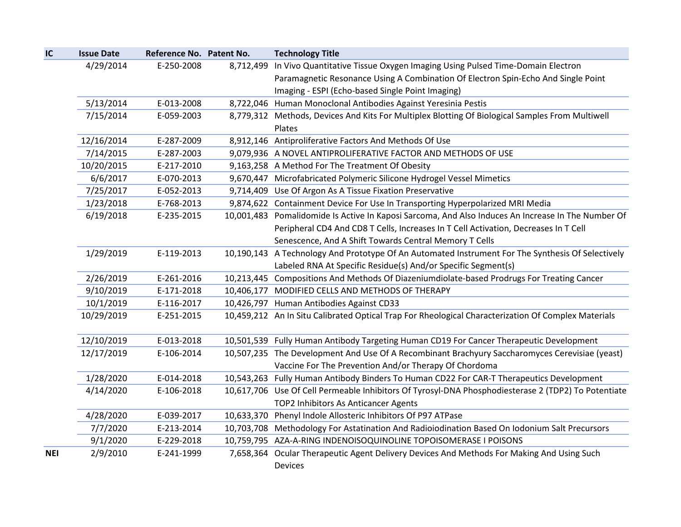| IC         | <b>Issue Date</b> | Reference No. Patent No. |           | <b>Technology Title</b>                                                                             |
|------------|-------------------|--------------------------|-----------|-----------------------------------------------------------------------------------------------------|
|            | 4/29/2014         | E-250-2008               | 8,712,499 | In Vivo Quantitative Tissue Oxygen Imaging Using Pulsed Time-Domain Electron                        |
|            |                   |                          |           | Paramagnetic Resonance Using A Combination Of Electron Spin-Echo And Single Point                   |
|            |                   |                          |           | Imaging - ESPI (Echo-based Single Point Imaging)                                                    |
|            | 5/13/2014         | E-013-2008               |           | 8,722,046 Human Monoclonal Antibodies Against Yeresinia Pestis                                      |
|            | 7/15/2014         | E-059-2003               |           | 8,779,312 Methods, Devices And Kits For Multiplex Blotting Of Biological Samples From Multiwell     |
|            |                   |                          |           | Plates                                                                                              |
|            | 12/16/2014        | E-287-2009               |           | 8,912,146 Antiproliferative Factors And Methods Of Use                                              |
|            | 7/14/2015         | E-287-2003               |           | 9,079,936 A NOVEL ANTIPROLIFERATIVE FACTOR AND METHODS OF USE                                       |
|            | 10/20/2015        | E-217-2010               |           | 9,163,258 A Method For The Treatment Of Obesity                                                     |
|            | 6/6/2017          | E-070-2013               |           | 9,670,447 Microfabricated Polymeric Silicone Hydrogel Vessel Mimetics                               |
|            | 7/25/2017         | E-052-2013               |           | 9,714,409 Use Of Argon As A Tissue Fixation Preservative                                            |
|            | 1/23/2018         | E-768-2013               |           | 9,874,622 Containment Device For Use In Transporting Hyperpolarized MRI Media                       |
|            | 6/19/2018         | E-235-2015               |           | 10,001,483 Pomalidomide Is Active In Kaposi Sarcoma, And Also Induces An Increase In The Number Of  |
|            |                   |                          |           | Peripheral CD4 And CD8 T Cells, Increases In T Cell Activation, Decreases In T Cell                 |
|            |                   |                          |           | Senescence, And A Shift Towards Central Memory T Cells                                              |
|            | 1/29/2019         | E-119-2013               |           | 10,190,143 A Technology And Prototype Of An Automated Instrument For The Synthesis Of Selectively   |
|            |                   |                          |           | Labeled RNA At Specific Residue(s) And/or Specific Segment(s)                                       |
|            | 2/26/2019         | E-261-2016               |           | 10,213,445 Compositions And Methods Of Diazeniumdiolate-based Prodrugs For Treating Cancer          |
|            | 9/10/2019         | E-171-2018               |           | 10,406,177 MODIFIED CELLS AND METHODS OF THERAPY                                                    |
|            | 10/1/2019         | E-116-2017               |           | 10,426,797 Human Antibodies Against CD33                                                            |
|            | 10/29/2019        | E-251-2015               |           | 10,459,212 An In Situ Calibrated Optical Trap For Rheological Characterization Of Complex Materials |
|            |                   |                          |           |                                                                                                     |
|            | 12/10/2019        | E-013-2018               |           | 10,501,539 Fully Human Antibody Targeting Human CD19 For Cancer Therapeutic Development             |
|            | 12/17/2019        | E-106-2014               |           | 10,507,235 The Development And Use Of A Recombinant Brachyury Saccharomyces Cerevisiae (yeast)      |
|            |                   |                          |           | Vaccine For The Prevention And/or Therapy Of Chordoma                                               |
|            | 1/28/2020         | E-014-2018               |           | 10,543,263 Fully Human Antibody Binders To Human CD22 For CAR-T Therapeutics Development            |
|            | 4/14/2020         | E-106-2018               |           | 10,617,706 Use Of Cell Permeable Inhibitors Of Tyrosyl-DNA Phosphodiesterase 2 (TDP2) To Potentiate |
|            |                   |                          |           | TOP2 Inhibitors As Anticancer Agents                                                                |
|            | 4/28/2020         | E-039-2017               |           | 10,633,370 Phenyl Indole Allosteric Inhibitors Of P97 ATPase                                        |
|            | 7/7/2020          | E-213-2014               |           | 10,703,708 Methodology For Astatination And Radioiodination Based On Iodonium Salt Precursors       |
|            | 9/1/2020          | E-229-2018               |           | 10,759,795 AZA-A-RING INDENOISOQUINOLINE TOPOISOMERASE I POISONS                                    |
| <b>NEI</b> | 2/9/2010          | E-241-1999               |           | 7,658,364 Ocular Therapeutic Agent Delivery Devices And Methods For Making And Using Such           |
|            |                   |                          |           | <b>Devices</b>                                                                                      |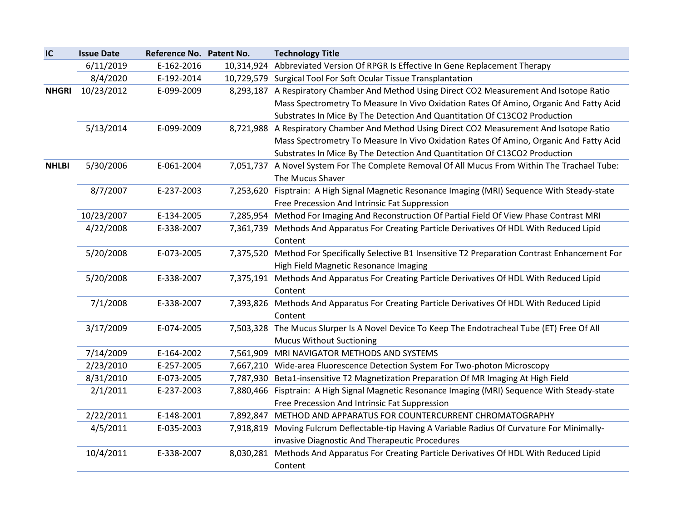| IC           | <b>Issue Date</b> | Reference No. Patent No. |           | <b>Technology Title</b>                                                                        |
|--------------|-------------------|--------------------------|-----------|------------------------------------------------------------------------------------------------|
|              | 6/11/2019         | E-162-2016               |           | 10,314,924 Abbreviated Version Of RPGR Is Effective In Gene Replacement Therapy                |
|              | 8/4/2020          | E-192-2014               |           | 10,729,579 Surgical Tool For Soft Ocular Tissue Transplantation                                |
| <b>NHGRI</b> | 10/23/2012        | E-099-2009               |           | 8,293,187 A Respiratory Chamber And Method Using Direct CO2 Measurement And Isotope Ratio      |
|              |                   |                          |           | Mass Spectrometry To Measure In Vivo Oxidation Rates Of Amino, Organic And Fatty Acid          |
|              |                   |                          |           | Substrates In Mice By The Detection And Quantitation Of C13CO2 Production                      |
|              | 5/13/2014         | E-099-2009               |           | 8,721,988 A Respiratory Chamber And Method Using Direct CO2 Measurement And Isotope Ratio      |
|              |                   |                          |           | Mass Spectrometry To Measure In Vivo Oxidation Rates Of Amino, Organic And Fatty Acid          |
|              |                   |                          |           | Substrates In Mice By The Detection And Quantitation Of C13CO2 Production                      |
| <b>NHLBI</b> | 5/30/2006         | E-061-2004               |           | 7,051,737 A Novel System For The Complete Removal Of All Mucus From Within The Trachael Tube:  |
|              |                   |                          |           | The Mucus Shaver                                                                               |
|              | 8/7/2007          | E-237-2003               |           | 7,253,620 Fisptrain: A High Signal Magnetic Resonance Imaging (MRI) Sequence With Steady-state |
|              |                   |                          |           | Free Precession And Intrinsic Fat Suppression                                                  |
|              | 10/23/2007        | E-134-2005               |           | 7,285,954 Method For Imaging And Reconstruction Of Partial Field Of View Phase Contrast MRI    |
|              | 4/22/2008         | E-338-2007               |           | 7,361,739 Methods And Apparatus For Creating Particle Derivatives Of HDL With Reduced Lipid    |
|              |                   |                          |           | Content                                                                                        |
|              | 5/20/2008         | E-073-2005               | 7,375,520 | Method For Specifically Selective B1 Insensitive T2 Preparation Contrast Enhancement For       |
|              |                   |                          |           | High Field Magnetic Resonance Imaging                                                          |
|              | 5/20/2008         | E-338-2007               |           | 7,375,191 Methods And Apparatus For Creating Particle Derivatives Of HDL With Reduced Lipid    |
|              |                   |                          |           | Content                                                                                        |
|              | 7/1/2008          | E-338-2007               |           | 7,393,826 Methods And Apparatus For Creating Particle Derivatives Of HDL With Reduced Lipid    |
|              |                   |                          |           | Content                                                                                        |
|              | 3/17/2009         | E-074-2005               |           | 7,503,328 The Mucus Slurper Is A Novel Device To Keep The Endotracheal Tube (ET) Free Of All   |
|              |                   |                          |           | <b>Mucus Without Suctioning</b>                                                                |
|              | 7/14/2009         | E-164-2002               | 7,561,909 | MRI NAVIGATOR METHODS AND SYSTEMS                                                              |
|              | 2/23/2010         | E-257-2005               | 7,667,210 | Wide-area Fluorescence Detection System For Two-photon Microscopy                              |
|              | 8/31/2010         | E-073-2005               |           | 7,787,930 Beta1-insensitive T2 Magnetization Preparation Of MR Imaging At High Field           |
|              | 2/1/2011          | E-237-2003               |           | 7,880,466 Fisptrain: A High Signal Magnetic Resonance Imaging (MRI) Sequence With Steady-state |
|              |                   |                          |           | Free Precession And Intrinsic Fat Suppression                                                  |
|              | 2/22/2011         | E-148-2001               | 7,892,847 | METHOD AND APPARATUS FOR COUNTERCURRENT CHROMATOGRAPHY                                         |
|              | 4/5/2011          | E-035-2003               |           | 7,918,819 Moving Fulcrum Deflectable-tip Having A Variable Radius Of Curvature For Minimally-  |
|              |                   |                          |           | invasive Diagnostic And Therapeutic Procedures                                                 |
|              | 10/4/2011         | E-338-2007               | 8,030,281 | Methods And Apparatus For Creating Particle Derivatives Of HDL With Reduced Lipid              |
|              |                   |                          |           | Content                                                                                        |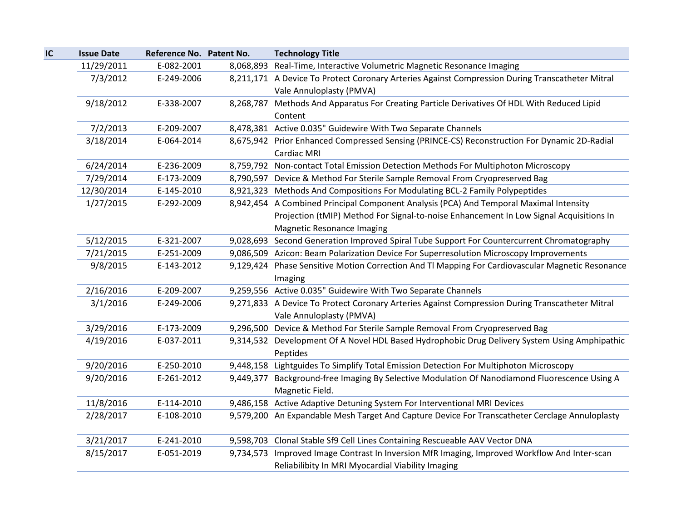| IC | <b>Issue Date</b> | Reference No. Patent No. | <b>Technology Title</b>                                                                          |
|----|-------------------|--------------------------|--------------------------------------------------------------------------------------------------|
|    | 11/29/2011        | E-082-2001               | 8,068,893 Real-Time, Interactive Volumetric Magnetic Resonance Imaging                           |
|    | 7/3/2012          | E-249-2006               | 8,211,171 A Device To Protect Coronary Arteries Against Compression During Transcatheter Mitral  |
|    |                   |                          | Vale Annuloplasty (PMVA)                                                                         |
|    | 9/18/2012         | E-338-2007               | 8,268,787 Methods And Apparatus For Creating Particle Derivatives Of HDL With Reduced Lipid      |
|    |                   |                          | Content                                                                                          |
|    | 7/2/2013          | E-209-2007               | 8,478,381 Active 0.035" Guidewire With Two Separate Channels                                     |
|    | 3/18/2014         | E-064-2014               | 8,675,942 Prior Enhanced Compressed Sensing (PRINCE-CS) Reconstruction For Dynamic 2D-Radial     |
|    |                   |                          | Cardiac MRI                                                                                      |
|    | 6/24/2014         | E-236-2009               | 8,759,792 Non-contact Total Emission Detection Methods For Multiphoton Microscopy                |
|    | 7/29/2014         | E-173-2009               | 8,790,597 Device & Method For Sterile Sample Removal From Cryopreserved Bag                      |
|    | 12/30/2014        | E-145-2010               | 8,921,323 Methods And Compositions For Modulating BCL-2 Family Polypeptides                      |
|    | 1/27/2015         | E-292-2009               | 8,942,454 A Combined Principal Component Analysis (PCA) And Temporal Maximal Intensity           |
|    |                   |                          | Projection (tMIP) Method For Signal-to-noise Enhancement In Low Signal Acquisitions In           |
|    |                   |                          | <b>Magnetic Resonance Imaging</b>                                                                |
|    | 5/12/2015         | E-321-2007               | 9,028,693 Second Generation Improved Spiral Tube Support For Countercurrent Chromatography       |
|    | 7/21/2015         | E-251-2009               | 9,086,509 Azicon: Beam Polarization Device For Superresolution Microscopy Improvements           |
|    | 9/8/2015          | E-143-2012               | 9,129,424 Phase Sensitive Motion Correction And Tl Mapping For Cardiovascular Magnetic Resonance |
|    |                   |                          | Imaging                                                                                          |
|    | 2/16/2016         | E-209-2007               | 9,259,556 Active 0.035" Guidewire With Two Separate Channels                                     |
|    | 3/1/2016          | E-249-2006               | 9,271,833 A Device To Protect Coronary Arteries Against Compression During Transcatheter Mitral  |
|    |                   |                          | Vale Annuloplasty (PMVA)                                                                         |
|    | 3/29/2016         | E-173-2009               | 9,296,500 Device & Method For Sterile Sample Removal From Cryopreserved Bag                      |
|    | 4/19/2016         | E-037-2011               | 9,314,532 Development Of A Novel HDL Based Hydrophobic Drug Delivery System Using Amphipathic    |
|    |                   |                          | Peptides                                                                                         |
|    | 9/20/2016         | E-250-2010               | 9,448,158 Lightguides To Simplify Total Emission Detection For Multiphoton Microscopy            |
|    | 9/20/2016         | E-261-2012               | 9,449,377 Background-free Imaging By Selective Modulation Of Nanodiamond Fluorescence Using A    |
|    |                   |                          | Magnetic Field.                                                                                  |
|    | 11/8/2016         | E-114-2010               | 9,486,158 Active Adaptive Detuning System For Interventional MRI Devices                         |
|    | 2/28/2017         | E-108-2010               | 9,579,200 An Expandable Mesh Target And Capture Device For Transcatheter Cerclage Annuloplasty   |
|    |                   |                          |                                                                                                  |
|    | 3/21/2017         | E-241-2010               | 9,598,703 Clonal Stable Sf9 Cell Lines Containing Rescueable AAV Vector DNA                      |
|    | 8/15/2017         | E-051-2019               | 9,734,573 Improved Image Contrast In Inversion MfR Imaging, Improved Workflow And Inter-scan     |
|    |                   |                          | Reliabilibity In MRI Myocardial Viability Imaging                                                |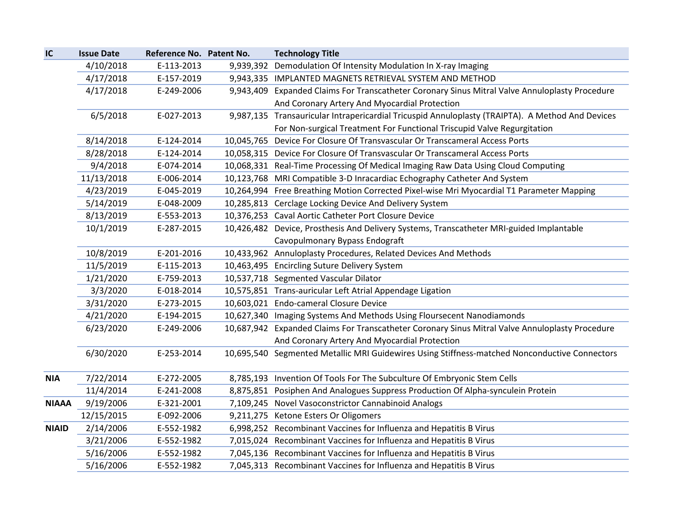| IC           | <b>Issue Date</b> | Reference No. Patent No. | <b>Technology Title</b>                                                                          |
|--------------|-------------------|--------------------------|--------------------------------------------------------------------------------------------------|
|              | 4/10/2018         | E-113-2013               | 9,939,392 Demodulation Of Intensity Modulation In X-ray Imaging                                  |
|              | 4/17/2018         | E-157-2019               | 9,943,335 IMPLANTED MAGNETS RETRIEVAL SYSTEM AND METHOD                                          |
|              | 4/17/2018         | E-249-2006               | 9,943,409 Expanded Claims For Transcatheter Coronary Sinus Mitral Valve Annuloplasty Procedure   |
|              |                   |                          | And Coronary Artery And Myocardial Protection                                                    |
|              | 6/5/2018          | E-027-2013               | 9,987,135 Transauricular Intrapericardial Tricuspid Annuloplasty (TRAIPTA). A Method And Devices |
|              |                   |                          | For Non-surgical Treatment For Functional Triscupid Valve Regurgitation                          |
|              | 8/14/2018         | E-124-2014               | 10,045,765 Device For Closure Of Transvascular Or Transcameral Access Ports                      |
|              | 8/28/2018         | E-124-2014               | 10,058,315 Device For Closure Of Transvascular Or Transcameral Access Ports                      |
|              | 9/4/2018          | E-074-2014               | 10,068,331 Real-Time Processing Of Medical Imaging Raw Data Using Cloud Computing                |
|              | 11/13/2018        | E-006-2014               | 10,123,768 MRI Compatible 3-D Inracardiac Echography Catheter And System                         |
|              | 4/23/2019         | E-045-2019               | 10,264,994 Free Breathing Motion Corrected Pixel-wise Mri Myocardial T1 Parameter Mapping        |
|              | 5/14/2019         | E-048-2009               | 10,285,813 Cerclage Locking Device And Delivery System                                           |
|              | 8/13/2019         | E-553-2013               | 10,376,253 Caval Aortic Catheter Port Closure Device                                             |
|              | 10/1/2019         | E-287-2015               | 10,426,482 Device, Prosthesis And Delivery Systems, Transcatheter MRI-guided Implantable         |
|              |                   |                          | Cavopulmonary Bypass Endograft                                                                   |
|              | 10/8/2019         | E-201-2016               | 10,433,962 Annuloplasty Procedures, Related Devices And Methods                                  |
|              | 11/5/2019         | E-115-2013               | 10,463,495 Encircling Suture Delivery System                                                     |
|              | 1/21/2020         | E-759-2013               | 10,537,718 Segmented Vascular Dilator                                                            |
|              | 3/3/2020          | E-018-2014               | 10,575,851 Trans-auricular Left Atrial Appendage Ligation                                        |
|              | 3/31/2020         | E-273-2015               | 10,603,021 Endo-cameral Closure Device                                                           |
|              | 4/21/2020         | E-194-2015               | 10,627,340 Imaging Systems And Methods Using Floursecent Nanodiamonds                            |
|              | 6/23/2020         | E-249-2006               | 10,687,942 Expanded Claims For Transcatheter Coronary Sinus Mitral Valve Annuloplasty Procedure  |
|              |                   |                          | And Coronary Artery And Myocardial Protection                                                    |
|              | 6/30/2020         | E-253-2014               | 10,695,540 Segmented Metallic MRI Guidewires Using Stiffness-matched Nonconductive Connectors    |
|              |                   |                          |                                                                                                  |
| <b>NIA</b>   | 7/22/2014         | E-272-2005               | 8,785,193 Invention Of Tools For The Subculture Of Embryonic Stem Cells                          |
|              | 11/4/2014         | E-241-2008               | 8,875,851 Posiphen And Analogues Suppress Production Of Alpha-synculein Protein                  |
| <b>NIAAA</b> | 9/19/2006         | E-321-2001               | 7,109,245 Novel Vasoconstrictor Cannabinoid Analogs                                              |
|              | 12/15/2015        | E-092-2006               | 9,211,275 Ketone Esters Or Oligomers                                                             |
| <b>NIAID</b> | 2/14/2006         | E-552-1982               | 6,998,252 Recombinant Vaccines for Influenza and Hepatitis B Virus                               |
|              | 3/21/2006         | E-552-1982               | 7,015,024 Recombinant Vaccines for Influenza and Hepatitis B Virus                               |
|              | 5/16/2006         | E-552-1982               | 7,045,136 Recombinant Vaccines for Influenza and Hepatitis B Virus                               |
|              | 5/16/2006         | E-552-1982               | 7,045,313 Recombinant Vaccines for Influenza and Hepatitis B Virus                               |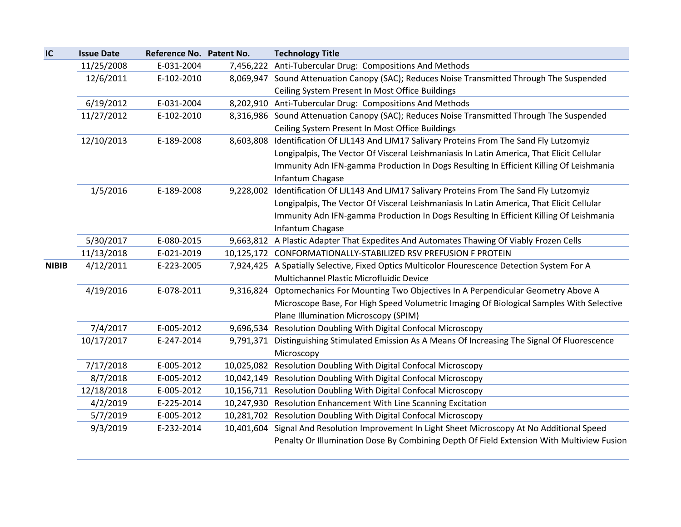| IC           | <b>Issue Date</b> | Reference No. Patent No. |            | <b>Technology Title</b>                                                                          |
|--------------|-------------------|--------------------------|------------|--------------------------------------------------------------------------------------------------|
|              | 11/25/2008        | E-031-2004               |            | 7,456,222 Anti-Tubercular Drug: Compositions And Methods                                         |
|              | 12/6/2011         | E-102-2010               |            | 8,069,947 Sound Attenuation Canopy (SAC); Reduces Noise Transmitted Through The Suspended        |
|              |                   |                          |            | Ceiling System Present In Most Office Buildings                                                  |
|              | 6/19/2012         | E-031-2004               |            | 8,202,910 Anti-Tubercular Drug: Compositions And Methods                                         |
|              | 11/27/2012        | E-102-2010               |            | 8,316,986 Sound Attenuation Canopy (SAC); Reduces Noise Transmitted Through The Suspended        |
|              |                   |                          |            | Ceiling System Present In Most Office Buildings                                                  |
|              | 12/10/2013        | E-189-2008               | 8,603,808  | Identification Of LJL143 And LJM17 Salivary Proteins From The Sand Fly Lutzomyiz                 |
|              |                   |                          |            | Longipalpis, The Vector Of Visceral Leishmaniasis In Latin America, That Elicit Cellular         |
|              |                   |                          |            | Immunity Adn IFN-gamma Production In Dogs Resulting In Efficient Killing Of Leishmania           |
|              |                   |                          |            | Infantum Chagase                                                                                 |
|              | 1/5/2016          | E-189-2008               | 9,228,002  | Identification Of LJL143 And LJM17 Salivary Proteins From The Sand Fly Lutzomyiz                 |
|              |                   |                          |            | Longipalpis, The Vector Of Visceral Leishmaniasis In Latin America, That Elicit Cellular         |
|              |                   |                          |            | Immunity Adn IFN-gamma Production In Dogs Resulting In Efficient Killing Of Leishmania           |
|              |                   |                          |            | Infantum Chagase                                                                                 |
|              | 5/30/2017         | E-080-2015               |            | 9,663,812 A Plastic Adapter That Expedites And Automates Thawing Of Viably Frozen Cells          |
|              | 11/13/2018        | E-021-2019               |            | 10,125,172 CONFORMATIONALLY-STABILIZED RSV PREFUSION F PROTEIN                                   |
| <b>NIBIB</b> | 4/12/2011         | E-223-2005               |            | 7,924,425 A Spatially Selective, Fixed Optics Multicolor Flourescence Detection System For A     |
|              |                   |                          |            | Multichannel Plastic Microfluidic Device                                                         |
|              | 4/19/2016         | E-078-2011               | 9,316,824  | Optomechanics For Mounting Two Objectives In A Perpendicular Geometry Above A                    |
|              |                   |                          |            | Microscope Base, For High Speed Volumetric Imaging Of Biological Samples With Selective          |
|              |                   |                          |            | Plane Illumination Microscopy (SPIM)                                                             |
|              | 7/4/2017          | E-005-2012               |            | 9,696,534 Resolution Doubling With Digital Confocal Microscopy                                   |
|              | 10/17/2017        | E-247-2014               |            | 9,791,371 Distinguishing Stimulated Emission As A Means Of Increasing The Signal Of Fluorescence |
|              |                   |                          |            | Microscopy                                                                                       |
|              | 7/17/2018         | E-005-2012               | 10,025,082 | Resolution Doubling With Digital Confocal Microscopy                                             |
|              | 8/7/2018          | E-005-2012               | 10,042,149 | Resolution Doubling With Digital Confocal Microscopy                                             |
|              | 12/18/2018        | E-005-2012               | 10,156,711 | Resolution Doubling With Digital Confocal Microscopy                                             |
|              | 4/2/2019          | E-225-2014               |            | 10,247,930 Resolution Enhancement With Line Scanning Excitation                                  |
|              | 5/7/2019          | E-005-2012               |            | 10,281,702 Resolution Doubling With Digital Confocal Microscopy                                  |
|              | 9/3/2019          | E-232-2014               | 10,401,604 | Signal And Resolution Improvement In Light Sheet Microscopy At No Additional Speed               |
|              |                   |                          |            | Penalty Or Illumination Dose By Combining Depth Of Field Extension With Multiview Fusion         |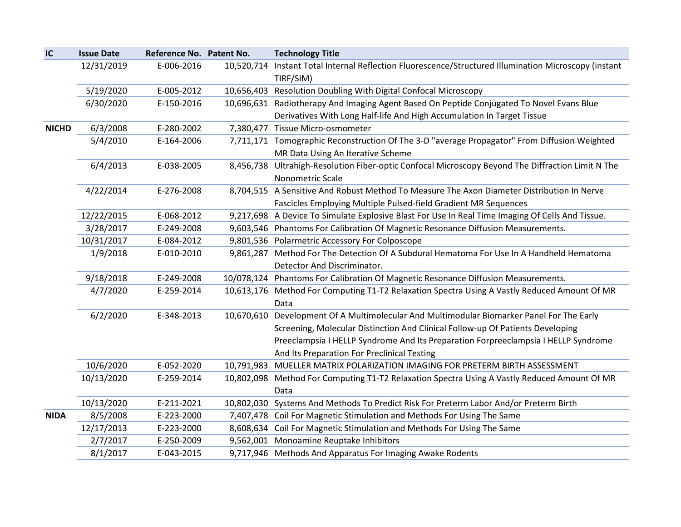| IC           | <b>Issue Date</b> | Reference No. Patent No. |            | <b>Technology Title</b>                                                                                 |
|--------------|-------------------|--------------------------|------------|---------------------------------------------------------------------------------------------------------|
|              | 12/31/2019        | E-006-2016               | 10,520,714 | Instant Total Internal Reflection Fluorescence/Structured Illumination Microscopy (instant<br>TIRF/SIM) |
|              | 5/19/2020         | E-005-2012               |            | 10,656,403 Resolution Doubling With Digital Confocal Microscopy                                         |
|              | 6/30/2020         | E-150-2016               |            | 10,696,631 Radiotherapy And Imaging Agent Based On Peptide Conjugated To Novel Evans Blue               |
|              |                   |                          |            | Derivatives With Long Half-life And High Accumulation In Target Tissue                                  |
| <b>NICHD</b> | 6/3/2008          | E-280-2002               |            | 7,380,477 Tissue Micro-osmometer                                                                        |
|              | 5/4/2010          | E-164-2006               |            | 7,711,171 Tomographic Reconstruction Of The 3-D "average Propagator" From Diffusion Weighted            |
|              |                   |                          |            | MR Data Using An Iterative Scheme                                                                       |
|              | 6/4/2013          | E-038-2005               |            | 8,456,738 Ultrahigh-Resolution Fiber-optic Confocal Microscopy Beyond The Diffraction Limit N The       |
|              |                   |                          |            | Nonometric Scale                                                                                        |
|              | 4/22/2014         | E-276-2008               |            | 8,704,515 A Sensitive And Robust Method To Measure The Axon Diameter Distribution In Nerve              |
|              |                   |                          |            | Fascicles Employing Multiple Pulsed-field Gradient MR Sequences                                         |
|              | 12/22/2015        | E-068-2012               |            | 9,217,698 A Device To Simulate Explosive Blast For Use In Real Time Imaging Of Cells And Tissue.        |
|              | 3/28/2017         | E-249-2008               |            | 9,603,546 Phantoms For Calibration Of Magnetic Resonance Diffusion Measurements.                        |
|              | 10/31/2017        | E-084-2012               |            | 9,801,536 Polarmetric Accessory For Colposcope                                                          |
|              | 1/9/2018          | E-010-2010               |            | 9,861,287 Method For The Detection Of A Subdural Hematoma For Use In A Handheld Hematoma                |
|              |                   |                          |            | Detector And Discriminator.                                                                             |
|              | 9/18/2018         | E-249-2008               |            | 10/078,124 Phantoms For Calibration Of Magnetic Resonance Diffusion Measurements.                       |
|              | 4/7/2020          | E-259-2014               |            | 10,613,176 Method For Computing T1-T2 Relaxation Spectra Using A Vastly Reduced Amount Of MR<br>Data    |
|              | 6/2/2020          | E-348-2013               |            | 10,670,610 Development Of A Multimolecular And Multimodular Biomarker Panel For The Early               |
|              |                   |                          |            | Screening, Molecular Distinction And Clinical Follow-up Of Patients Developing                          |
|              |                   |                          |            | Preeclampsia I HELLP Syndrome And Its Preparation Forpreeclampsia I HELLP Syndrome                      |
|              |                   |                          |            | And Its Preparation For Preclinical Testing                                                             |
|              | 10/6/2020         | E-052-2020               |            | 10,791,983 MUELLER MATRIX POLARIZATION IMAGING FOR PRETERM BIRTH ASSESSMENT                             |
|              | 10/13/2020        | E-259-2014               |            | 10,802,098 Method For Computing T1-T2 Relaxation Spectra Using A Vastly Reduced Amount Of MR            |
|              |                   |                          |            | Data                                                                                                    |
|              | 10/13/2020        | E-211-2021               |            | 10,802,030 Systems And Methods To Predict Risk For Preterm Labor And/or Preterm Birth                   |
| <b>NIDA</b>  | 8/5/2008          | E-223-2000               |            | 7,407,478 Coil For Magnetic Stimulation and Methods For Using The Same                                  |
|              | 12/17/2013        | E-223-2000               |            | 8,608,634 Coil For Magnetic Stimulation and Methods For Using The Same                                  |
|              | 2/7/2017          | E-250-2009               |            | 9,562,001 Monoamine Reuptake Inhibitors                                                                 |
|              | 8/1/2017          | E-043-2015               |            | 9,717,946 Methods And Apparatus For Imaging Awake Rodents                                               |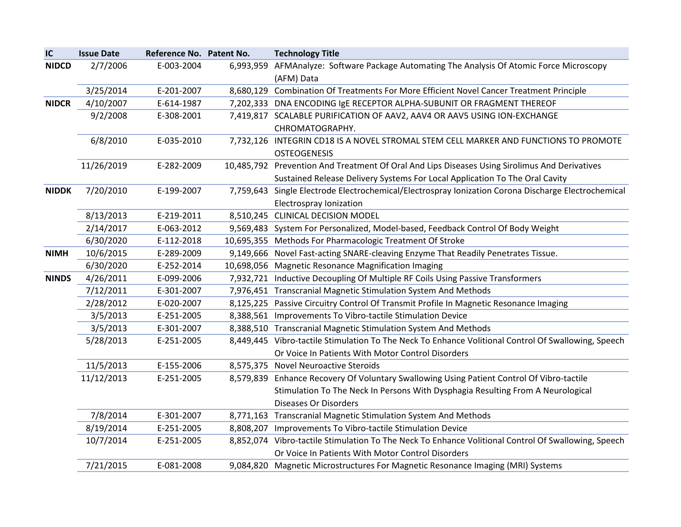| IC           | <b>Issue Date</b> | Reference No. Patent No. |           | <b>Technology Title</b>                                                                             |
|--------------|-------------------|--------------------------|-----------|-----------------------------------------------------------------------------------------------------|
| <b>NIDCD</b> | 2/7/2006          | E-003-2004               | 6,993,959 | AFMAnalyze: Software Package Automating The Analysis Of Atomic Force Microscopy<br>(AFM) Data       |
|              | 3/25/2014         | E-201-2007               |           | 8,680,129 Combination Of Treatments For More Efficient Novel Cancer Treatment Principle             |
| <b>NIDCR</b> | 4/10/2007         | E-614-1987               |           | 7,202,333 DNA ENCODING IgE RECEPTOR ALPHA-SUBUNIT OR FRAGMENT THEREOF                               |
|              | 9/2/2008          | E-308-2001               |           | 7,419,817 SCALABLE PURIFICATION OF AAV2, AAV4 OR AAV5 USING ION-EXCHANGE                            |
|              |                   |                          |           | CHROMATOGRAPHY.                                                                                     |
|              | 6/8/2010          | E-035-2010               |           | 7,732,126 INTEGRIN CD18 IS A NOVEL STROMAL STEM CELL MARKER AND FUNCTIONS TO PROMOTE                |
|              |                   |                          |           | <b>OSTEOGENESIS</b>                                                                                 |
|              | 11/26/2019        | E-282-2009               |           | 10,485,792 Prevention And Treatment Of Oral And Lips Diseases Using Sirolimus And Derivatives       |
|              |                   |                          |           | Sustained Release Delivery Systems For Local Application To The Oral Cavity                         |
| <b>NIDDK</b> | 7/20/2010         | E-199-2007               |           | 7,759,643 Single Electrode Electrochemical/Electrospray Ionization Corona Discharge Electrochemical |
|              |                   |                          |           | Electrospray Ionization                                                                             |
|              | 8/13/2013         | E-219-2011               |           | 8,510,245 CLINICAL DECISION MODEL                                                                   |
|              | 2/14/2017         | E-063-2012               |           | 9,569,483 System For Personalized, Model-based, Feedback Control Of Body Weight                     |
|              | 6/30/2020         | E-112-2018               |           | 10,695,355 Methods For Pharmacologic Treatment Of Stroke                                            |
| <b>NIMH</b>  | 10/6/2015         | E-289-2009               |           | 9,149,666 Novel Fast-acting SNARE-cleaving Enzyme That Readily Penetrates Tissue.                   |
|              | 6/30/2020         | E-252-2014               |           | 10,698,056 Magnetic Resonance Magnification Imaging                                                 |
| <b>NINDS</b> | 4/26/2011         | E-099-2006               |           | 7,932,721 Inductive Decoupling Of Multiple RF Coils Using Passive Transformers                      |
|              | 7/12/2011         | E-301-2007               |           | 7,976,451 Transcranial Magnetic Stimulation System And Methods                                      |
|              | 2/28/2012         | E-020-2007               |           | 8,125,225 Passive Circuitry Control Of Transmit Profile In Magnetic Resonance Imaging               |
|              | 3/5/2013          | E-251-2005               |           | 8,388,561 Improvements To Vibro-tactile Stimulation Device                                          |
|              | 3/5/2013          | E-301-2007               |           | 8,388,510 Transcranial Magnetic Stimulation System And Methods                                      |
|              | 5/28/2013         | E-251-2005               |           | 8,449,445 Vibro-tactile Stimulation To The Neck To Enhance Volitional Control Of Swallowing, Speech |
|              |                   |                          |           | Or Voice In Patients With Motor Control Disorders                                                   |
|              | 11/5/2013         | E-155-2006               |           | 8,575,375 Novel Neuroactive Steroids                                                                |
|              | 11/12/2013        | E-251-2005               |           | 8,579,839 Enhance Recovery Of Voluntary Swallowing Using Patient Control Of Vibro-tactile           |
|              |                   |                          |           | Stimulation To The Neck In Persons With Dysphagia Resulting From A Neurological                     |
|              |                   |                          |           | <b>Diseases Or Disorders</b>                                                                        |
|              | 7/8/2014          | E-301-2007               |           | 8,771,163 Transcranial Magnetic Stimulation System And Methods                                      |
|              | 8/19/2014         | E-251-2005               |           | 8,808,207 Improvements To Vibro-tactile Stimulation Device                                          |
|              | 10/7/2014         | E-251-2005               |           | 8,852,074 Vibro-tactile Stimulation To The Neck To Enhance Volitional Control Of Swallowing, Speech |
|              |                   |                          |           | Or Voice In Patients With Motor Control Disorders                                                   |
|              | 7/21/2015         | E-081-2008               |           | 9,084,820 Magnetic Microstructures For Magnetic Resonance Imaging (MRI) Systems                     |